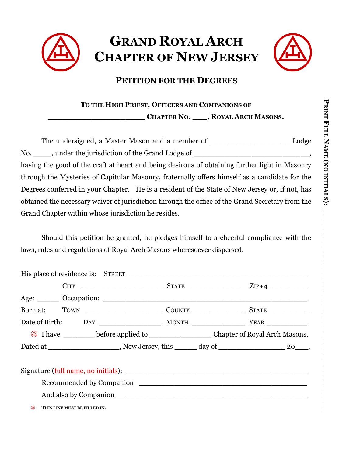



## **PETITION FOR THE DEGREES**

**TO THE HIGH PRIEST, OFFICERS AND COMPANIONS OF**

**\_\_\_\_\_\_\_\_\_\_\_\_\_\_\_\_\_\_\_\_ CHAPTER NO. \_\_\_, ROYAL ARCH MASONS.**

The undersigned, a Master Mason and a member of \_\_\_\_\_\_\_\_\_\_\_\_\_\_\_\_\_\_\_\_\_\_\_\_ Lodge No. \_\_\_\_\_, under the jurisdiction of the Grand Lodge of \_\_\_\_\_\_\_\_\_\_\_\_\_\_\_\_\_\_\_\_\_\_\_\_, having the good of the craft at heart and being desirous of obtaining further light in Masonry through the Mysteries of Capitular Masonry, fraternally offers himself as a candidate for the Degrees conferred in your Chapter. He is a resident of the State of New Jersey or, if not, has obtained the necessary waiver of jurisdiction through the office of the Grand Secretary from the Grand Chapter within whose jurisdiction he resides.

Should this petition be granted, he pledges himself to a cheerful compliance with the laws, rules and regulations of Royal Arch Masons wheresoever dispersed.

|  | Age: Occupation:                                                                              |  |  |  |
|--|-----------------------------------------------------------------------------------------------|--|--|--|
|  |                                                                                               |  |  |  |
|  |                                                                                               |  |  |  |
|  |                                                                                               |  |  |  |
|  | Dated at ___________________, New Jersey, this ______ day of ________________________ 20____. |  |  |  |
|  |                                                                                               |  |  |  |
|  |                                                                                               |  |  |  |
|  |                                                                                               |  |  |  |
|  |                                                                                               |  |  |  |
|  | THIS LINE MUST BE FILLED IN.                                                                  |  |  |  |